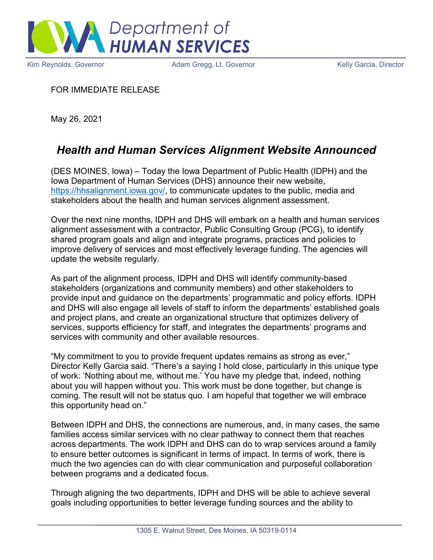

Kim Reynolds, Governor **Adam Gregg, Lt. Governor** Melly Garcia, Director Christense Adam Gregg, Lt. Governor

FOR IMMEDIATE RELEASE

May 26, 2021

## *Health and Human Services Alignment Website Announced*

(DES MOINES, Iowa) – Today the Iowa Department of Public Health (IDPH) and the Iowa Department of Human Services (DHS) announce their new website, [https://hhsalignment.iowa.gov/,](https://hhsalignment.iowa.gov/) to communicate updates to the public, media and stakeholders about the health and human services alignment assessment.

Over the next nine months, IDPH and DHS will embark on a health and human services alignment assessment with a contractor, Public Consulting Group (PCG), to identify shared program goals and align and integrate programs, practices and policies to improve delivery of services and most effectively leverage funding. The agencies will update the website regularly.

As part of the alignment process, IDPH and DHS will identify community-based stakeholders (organizations and community members) and other stakeholders to provide input and guidance on the departments' programmatic and policy efforts. IDPH and DHS will also engage all levels of staff to inform the departments' established goals and project plans, and create an organizational structure that optimizes delivery of services, supports efficiency for staff, and integrates the departments' programs and services with community and other available resources.

"My commitment to you to provide frequent updates remains as strong as ever," Director Kelly Garcia said. "There's a saying I hold close, particularly in this unique type of work: 'Nothing about me, without me.' You have my pledge that, indeed, nothing about you will happen without you. This work must be done together, but change is coming. The result will not be status quo. I am hopeful that together we will embrace this opportunity head on."

Between IDPH and DHS, the connections are numerous, and, in many cases, the same families access similar services with no clear pathway to connect them that reaches across departments. The work IDPH and DHS can do to wrap services around a family to ensure better outcomes is significant in terms of impact. In terms of work, there is much the two agencies can do with clear communication and purposeful collaboration between programs and a dedicated focus.

Through aligning the two departments, IDPH and DHS will be able to achieve several goals including opportunities to better leverage funding sources and the ability to